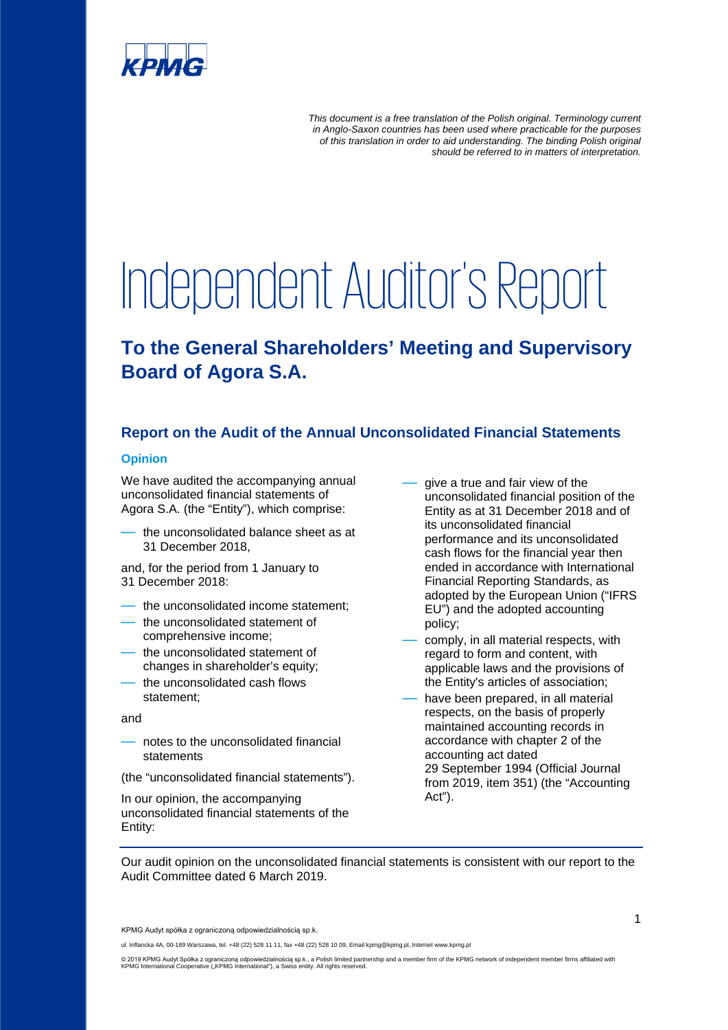

*This document is a free translation of the Polish original. Terminology current in Anglo-Saxon countries has been used where practicable for the purposes of this translation in order to aid understanding. The binding Polish original should be referred to in matters of interpretation.*

# Independent Auditor's Report

## **To the General Shareholders' Meeting and Supervisory Board of Agora S.A.**

### **Report on the Audit of the Annual Unconsolidated Financial Statements**

#### **Opinion**

We have audited the accompanying annual unconsolidated financial statements of Agora S.A. (the "Entity"), which comprise:

the unconsolidated balance sheet as at 31 December 2018,

and, for the period from 1 January to 31 December 2018:

- the unconsolidated income statement;
- the unconsolidated statement of comprehensive income;
- the unconsolidated statement of changes in shareholder's equity:
- the unconsolidated cash flows statement;

and

— notes to the unconsolidated financial statements

(the "unconsolidated financial statements").

In our opinion, the accompanying unconsolidated financial statements of the Entity:

- give a true and fair view of the unconsolidated financial position of the Entity as at 31 December 2018 and of its unconsolidated financial performance and its unconsolidated cash flows for the financial year then ended in accordance with International Financial Reporting Standards, as adopted by the European Union ("IFRS EU") and the adopted accounting policy;
- comply, in all material respects, with regard to form and content, with applicable laws and the provisions of the Entity's articles of association;
- have been prepared, in all material respects, on the basis of properly maintained accounting records in accordance with chapter 2 of the accounting act dated 29 September 1994 (Official Journal from 2019, item 351) (the "Accounting Act").

Our audit opinion on the unconsolidated financial statements is consistent with our report to the Audit Committee dated 6 March 2019.

KPMG Audyt spółka z ograniczoną odpowiedzialnością sp.k.

ul. Inflancka 4A, 00-189 Warszawa, tel. +48 (22) 528 11 11, fax +48 (22) 528 10 09, Email kpmg@kpmg.pl, Internet www.kpmg.pl

© 2019 KPMG Audyt Spółka z ograniczoną odpowiedzialnością sp.k., a Polish limited partnership and a member firm of the KPMG network of independent member firms affiliated with<br>KPMG International Cooperative ("KPMG Interna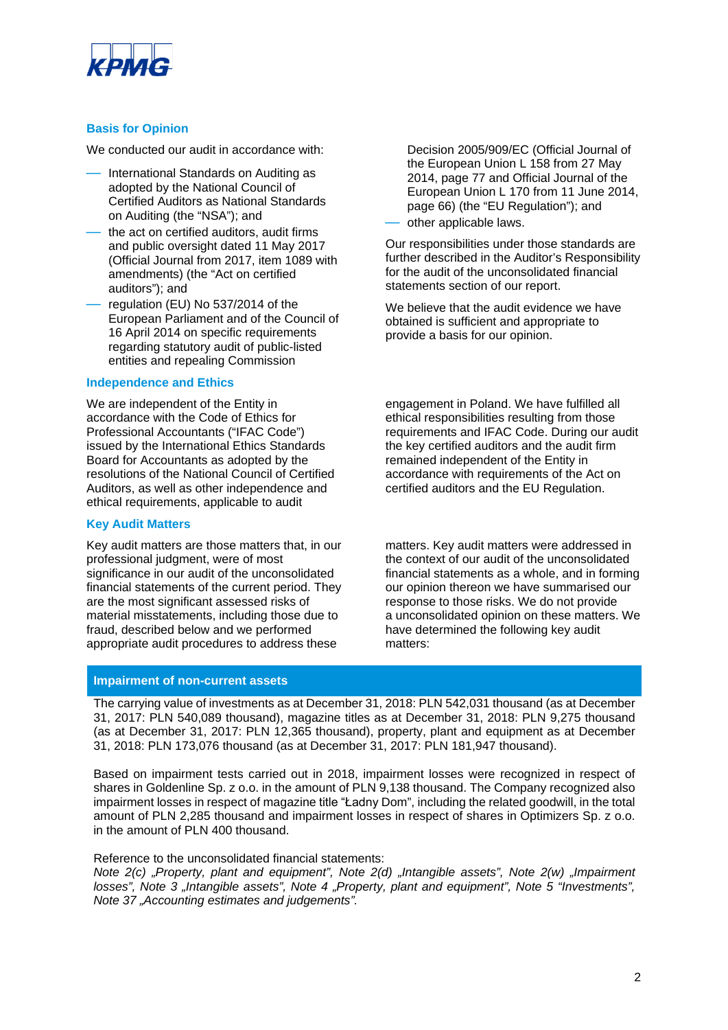

#### **Basis for Opinion**

We conducted our audit in accordance with:

- International Standards on Auditing as adopted by the National Council of Certified Auditors as National Standards on Auditing (the "NSA"); and
- the act on certified auditors, audit firms and public oversight dated 11 May 2017 (Official Journal from 2017, item 1089 with amendments) (the "Act on certified auditors"); and
- regulation (EU) No 537/2014 of the European Parliament and of the Council of 16 April 2014 on specific requirements regarding statutory audit of public-listed entities and repealing Commission

#### **Independence and Ethics**

We are independent of the Entity in accordance with the Code of Ethics for Professional Accountants ("IFAC Code") issued by the International Ethics Standards Board for Accountants as adopted by the resolutions of the National Council of Certified Auditors, as well as other independence and ethical requirements, applicable to audit

#### **Key Audit Matters**

Key audit matters are those matters that, in our professional judgment, were of most significance in our audit of the unconsolidated financial statements of the current period. They are the most significant assessed risks of material misstatements, including those due to fraud, described below and we performed appropriate audit procedures to address these

**Impairment of non-current assets**

Decision 2005/909/EC (Official Journal of the European Union L 158 from 27 May 2014, page 77 and Official Journal of the European Union L 170 from 11 June 2014, page 66) (the "EU Regulation"); and

other applicable laws.

Our responsibilities under those standards are further described in the Auditor's Responsibility for the audit of the unconsolidated financial statements section of our report.

We believe that the audit evidence we have obtained is sufficient and appropriate to provide a basis for our opinion.

engagement in Poland. We have fulfilled all ethical responsibilities resulting from those requirements and IFAC Code. During our audit the key certified auditors and the audit firm remained independent of the Entity in accordance with requirements of the Act on certified auditors and the EU Regulation.

matters. Key audit matters were addressed in the context of our audit of the unconsolidated financial statements as a whole, and in forming our opinion thereon we have summarised our response to those risks. We do not provide a unconsolidated opinion on these matters. We have determined the following key audit matters:

The carrying value of investments as at December 31, 2018: PLN 542,031 thousand (as at December 31, 2017: PLN 540,089 thousand), magazine titles as at December 31, 2018: PLN 9,275 thousand (as at December 31, 2017: PLN 12,365 thousand), property, plant and equipment as at December 31, 2018: PLN 173,076 thousand (as at December 31, 2017: PLN 181,947 thousand).

Based on impairment tests carried out in 2018, impairment losses were recognized in respect of shares in Goldenline Sp. z o.o. in the amount of PLN 9,138 thousand. The Company recognized also impairment losses in respect of magazine title "Ładny Dom", including the related goodwill, in the total amount of PLN 2,285 thousand and impairment losses in respect of shares in Optimizers Sp. z o.o. in the amount of PLN 400 thousand.

#### Reference to the unconsolidated financial statements:

*Note 2(c) "Property, plant and equipment", Note 2(d) "Intangible assets", Note 2(w) "Impairment*  losses", Note 3 "Intangible assets", Note 4 "Property, plant and equipment", Note 5 "Investments", *Note 37 "Accounting estimates and judgements".*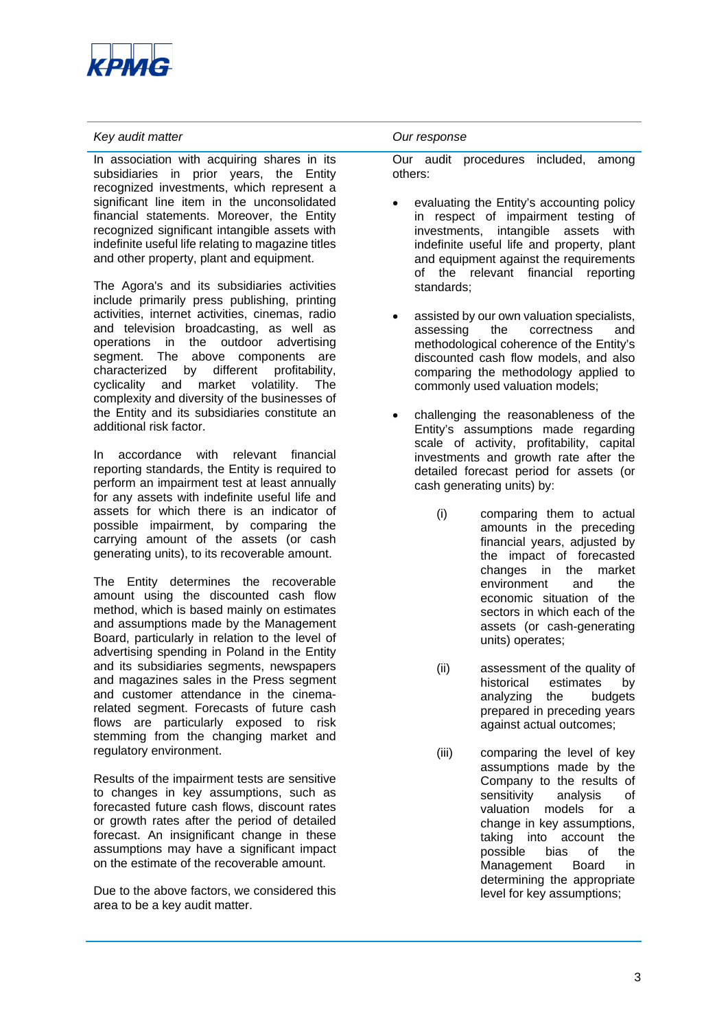

#### *Key audit matter Our response*

In association with acquiring shares in its subsidiaries in prior years, the Entity recognized investments, which represent a significant line item in the unconsolidated financial statements. Moreover, the Entity recognized significant intangible assets with indefinite useful life relating to magazine titles and other property, plant and equipment.

The Agora's and its subsidiaries activities include primarily press publishing, printing activities, internet activities, cinemas, radio and television broadcasting, as well as operations in the outdoor advertising segment. The above components are characterized by different profitability, cyclicality and market volatility. The complexity and diversity of the businesses of the Entity and its subsidiaries constitute an additional risk factor.

In accordance with relevant financial reporting standards, the Entity is required to perform an impairment test at least annually for any assets with indefinite useful life and assets for which there is an indicator of possible impairment, by comparing the carrying amount of the assets (or cash generating units), to its recoverable amount.

The Entity determines the recoverable amount using the discounted cash flow method, which is based mainly on estimates and assumptions made by the Management Board, particularly in relation to the level of advertising spending in Poland in the Entity and its subsidiaries segments, newspapers and magazines sales in the Press segment and customer attendance in the cinemarelated segment. Forecasts of future cash flows are particularly exposed to risk stemming from the changing market and regulatory environment.

Results of the impairment tests are sensitive to changes in key assumptions, such as forecasted future cash flows, discount rates or growth rates after the period of detailed forecast. An insignificant change in these assumptions may have a significant impact on the estimate of the recoverable amount.

Due to the above factors, we considered this area to be a key audit matter.

Our audit procedures included, among others:

- evaluating the Entity's accounting policy in respect of impairment testing of investments, intangible assets with indefinite useful life and property, plant and equipment against the requirements of the relevant financial reporting standards;
- assisted by our own valuation specialists, assessing the correctness and methodological coherence of the Entity's discounted cash flow models, and also comparing the methodology applied to commonly used valuation models;
- challenging the reasonableness of the Entity's assumptions made regarding scale of activity, profitability, capital investments and growth rate after the detailed forecast period for assets (or cash generating units) by:
	- (i) comparing them to actual amounts in the preceding financial years, adjusted by the impact of forecasted changes in the market environment and the economic situation of the sectors in which each of the assets (or cash-generating units) operates;
	- (ii) assessment of the quality of historical estimates by analyzing the budgets prepared in preceding years against actual outcomes;
	- (iii) comparing the level of key assumptions made by the Company to the results of sensitivity analysis of valuation models for a change in key assumptions, taking into account the possible bias of the<br>Management Board in Management Board in determining the appropriate level for key assumptions;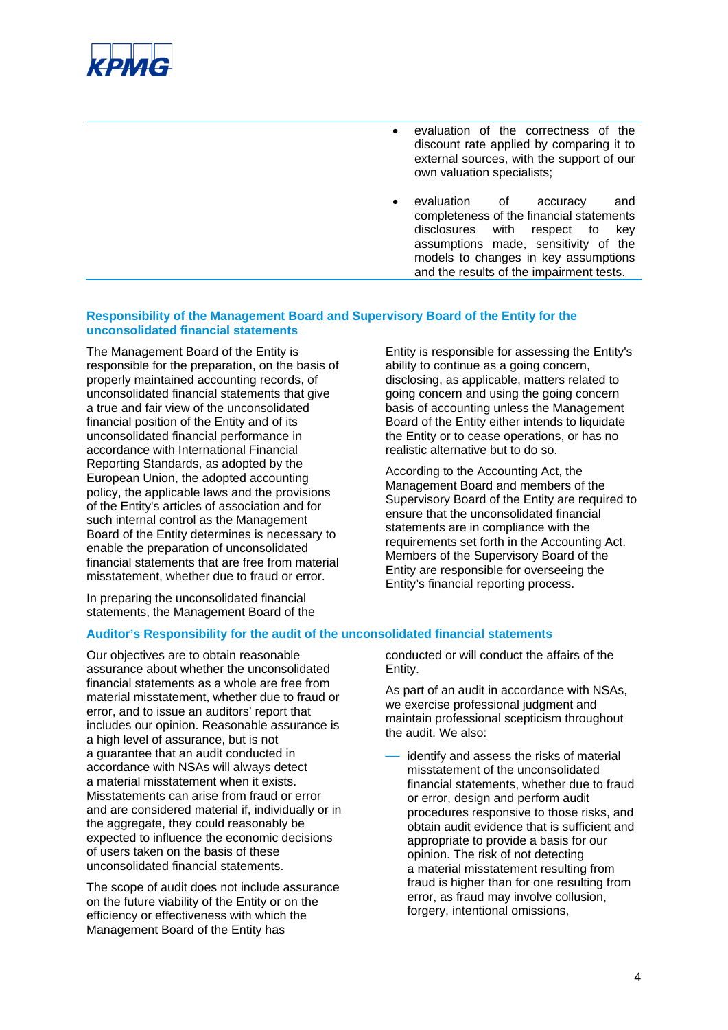

- evaluation of the correctness of the discount rate applied by comparing it to external sources, with the support of our own valuation specialists;
- evaluation of accuracy and completeness of the financial statements disclosures with respect to key assumptions made, sensitivity of the models to changes in key assumptions and the results of the impairment tests.

#### **Responsibility of the Management Board and Supervisory Board of the Entity for the unconsolidated financial statements**

The Management Board of the Entity is responsible for the preparation, on the basis of properly maintained accounting records, of unconsolidated financial statements that give a true and fair view of the unconsolidated financial position of the Entity and of its unconsolidated financial performance in accordance with International Financial Reporting Standards, as adopted by the European Union, the adopted accounting policy, the applicable laws and the provisions of the Entity's articles of association and for such internal control as the Management Board of the Entity determines is necessary to enable the preparation of unconsolidated financial statements that are free from material misstatement, whether due to fraud or error.

In preparing the unconsolidated financial statements, the Management Board of the Entity is responsible for assessing the Entity's ability to continue as a going concern, disclosing, as applicable, matters related to going concern and using the going concern basis of accounting unless the Management Board of the Entity either intends to liquidate the Entity or to cease operations, or has no realistic alternative but to do so.

According to the Accounting Act, the Management Board and members of the Supervisory Board of the Entity are required to ensure that the unconsolidated financial statements are in compliance with the requirements set forth in the Accounting Act. Members of the Supervisory Board of the Entity are responsible for overseeing the Entity's financial reporting process.

#### **Auditor's Responsibility for the audit of the unconsolidated financial statements**

Our objectives are to obtain reasonable assurance about whether the unconsolidated financial statements as a whole are free from material misstatement, whether due to fraud or error, and to issue an auditors' report that includes our opinion. Reasonable assurance is a high level of assurance, but is not a guarantee that an audit conducted in accordance with NSAs will always detect a material misstatement when it exists. Misstatements can arise from fraud or error and are considered material if, individually or in the aggregate, they could reasonably be expected to influence the economic decisions of users taken on the basis of these unconsolidated financial statements.

The scope of audit does not include assurance on the future viability of the Entity or on the efficiency or effectiveness with which the Management Board of the Entity has

conducted or will conduct the affairs of the Entity.

As part of an audit in accordance with NSAs, we exercise professional judgment and maintain professional scepticism throughout the audit. We also:

identify and assess the risks of material misstatement of the unconsolidated financial statements, whether due to fraud or error, design and perform audit procedures responsive to those risks, and obtain audit evidence that is sufficient and appropriate to provide a basis for our opinion. The risk of not detecting a material misstatement resulting from fraud is higher than for one resulting from error, as fraud may involve collusion, forgery, intentional omissions,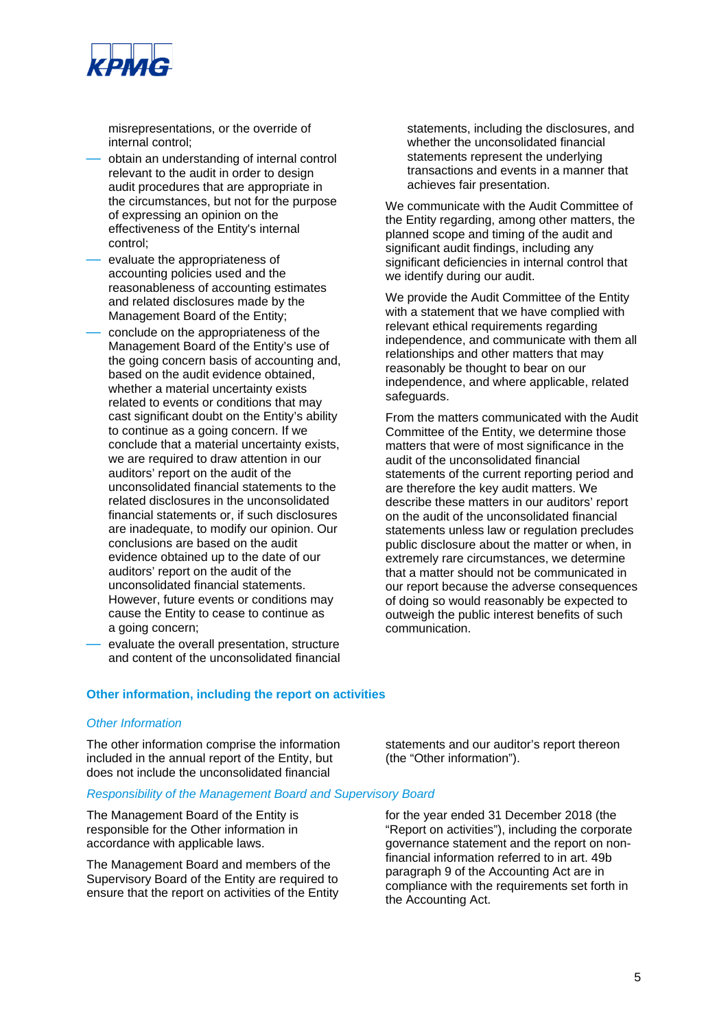

misrepresentations, or the override of internal control;

- obtain an understanding of internal control relevant to the audit in order to design audit procedures that are appropriate in the circumstances, but not for the purpose of expressing an opinion on the effectiveness of the Entity's internal control;
- evaluate the appropriateness of accounting policies used and the reasonableness of accounting estimates and related disclosures made by the Management Board of the Entity;
- conclude on the appropriateness of the Management Board of the Entity's use of the going concern basis of accounting and, based on the audit evidence obtained, whether a material uncertainty exists related to events or conditions that may cast significant doubt on the Entity's ability to continue as a going concern. If we conclude that a material uncertainty exists, we are required to draw attention in our auditors' report on the audit of the unconsolidated financial statements to the related disclosures in the unconsolidated financial statements or, if such disclosures are inadequate, to modify our opinion. Our conclusions are based on the audit evidence obtained up to the date of our auditors' report on the audit of the unconsolidated financial statements. However, future events or conditions may cause the Entity to cease to continue as a going concern;
- evaluate the overall presentation, structure and content of the unconsolidated financial

statements, including the disclosures, and whether the unconsolidated financial statements represent the underlying transactions and events in a manner that achieves fair presentation.

We communicate with the Audit Committee of the Entity regarding, among other matters, the planned scope and timing of the audit and significant audit findings, including any significant deficiencies in internal control that we identify during our audit.

We provide the Audit Committee of the Entity with a statement that we have complied with relevant ethical requirements regarding independence, and communicate with them all relationships and other matters that may reasonably be thought to bear on our independence, and where applicable, related safeguards.

From the matters communicated with the Audit Committee of the Entity, we determine those matters that were of most significance in the audit of the unconsolidated financial statements of the current reporting period and are therefore the key audit matters. We describe these matters in our auditors' report on the audit of the unconsolidated financial statements unless law or regulation precludes public disclosure about the matter or when, in extremely rare circumstances, we determine that a matter should not be communicated in our report because the adverse consequences of doing so would reasonably be expected to outweigh the public interest benefits of such communication.

#### **Other information, including the report on activities**

#### *Other Information*

The other information comprise the information included in the annual report of the Entity, but does not include the unconsolidated financial

#### *Responsibility of the Management Board and Supervisory Board*

The Management Board of the Entity is responsible for the Other information in accordance with applicable laws.

The Management Board and members of the Supervisory Board of the Entity are required to ensure that the report on activities of the Entity statements and our auditor's report thereon (the "Other information").

for the year ended 31 December 2018 (the "Report on activities"), including the corporate governance statement and the report on nonfinancial information referred to in art. 49b paragraph 9 of the Accounting Act are in compliance with the requirements set forth in the Accounting Act.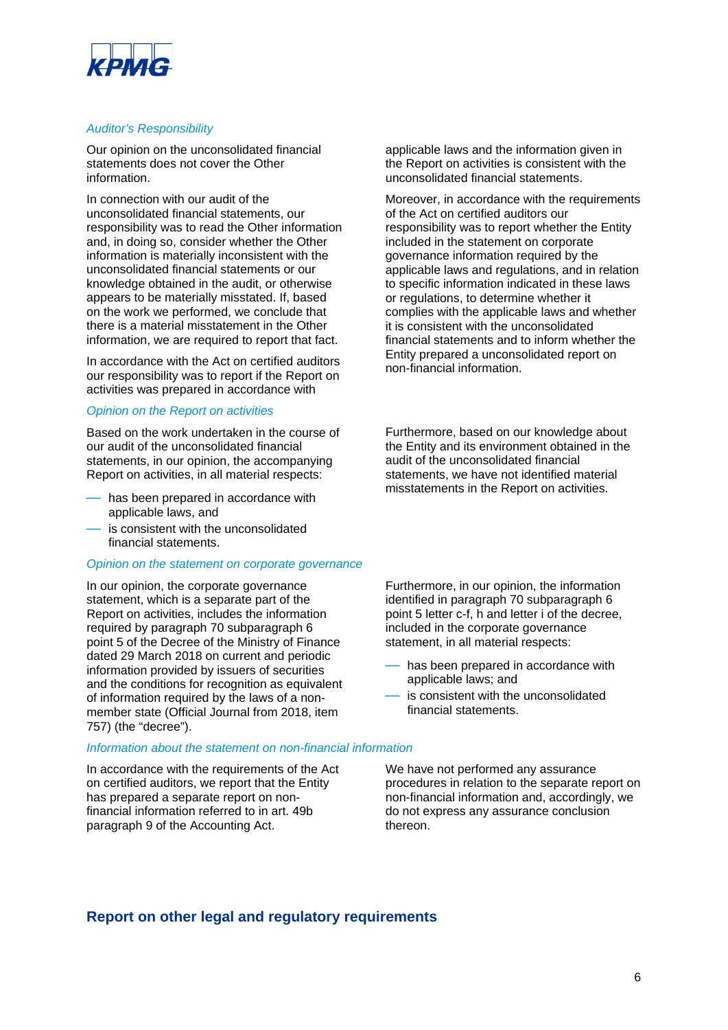

#### *Auditor's Responsibility*

Our opinion on the unconsolidated financial statements does not cover the Other information.

In connection with our audit of the unconsolidated financial statements, our responsibility was to read the Other information and, in doing so, consider whether the Other information is materially inconsistent with the unconsolidated financial statements or our knowledge obtained in the audit, or otherwise appears to be materially misstated. If, based on the work we performed, we conclude that there is a material misstatement in the Other information, we are required to report that fact.

In accordance with the Act on certified auditors our responsibility was to report if the Report on activities was prepared in accordance with

#### *Opinion on the Report on activities*

Based on the work undertaken in the course of our audit of the unconsolidated financial statements, in our opinion, the accompanying Report on activities, in all material respects:

- has been prepared in accordance with applicable laws, and
- is consistent with the unconsolidated financial statements.

#### *Opinion on the statement on corporate governance*

In our opinion, the corporate governance statement, which is a separate part of the Report on activities, includes the information required by paragraph 70 subparagraph 6 point 5 of the Decree of the Ministry of Finance dated 29 March 2018 on current and periodic information provided by issuers of securities and the conditions for recognition as equivalent of information required by the laws of a nonmember state (Official Journal from 2018, item 757) (the "decree").

#### *Information about the statement on non-financial information*

In accordance with the requirements of the Act on certified auditors, we report that the Entity has prepared a separate report on nonfinancial information referred to in art. 49b paragraph 9 of the Accounting Act.

applicable laws and the information given in the Report on activities is consistent with the unconsolidated financial statements.

Moreover, in accordance with the requirements of the Act on certified auditors our responsibility was to report whether the Entity included in the statement on corporate governance information required by the applicable laws and regulations, and in relation to specific information indicated in these laws or regulations, to determine whether it complies with the applicable laws and whether it is consistent with the unconsolidated financial statements and to inform whether the Entity prepared a unconsolidated report on non-financial information.

Furthermore, based on our knowledge about the Entity and its environment obtained in the audit of the unconsolidated financial statements, we have not identified material misstatements in the Report on activities.

Furthermore, in our opinion, the information identified in paragraph 70 subparagraph 6 point 5 letter c-f, h and letter i of the decree, included in the corporate governance statement, in all material respects:

- has been prepared in accordance with applicable laws; and
- is consistent with the unconsolidated financial statements.

We have not performed any assurance procedures in relation to the separate report on non-financial information and, accordingly, we do not express any assurance conclusion thereon.

### **Report on other legal and regulatory requirements**